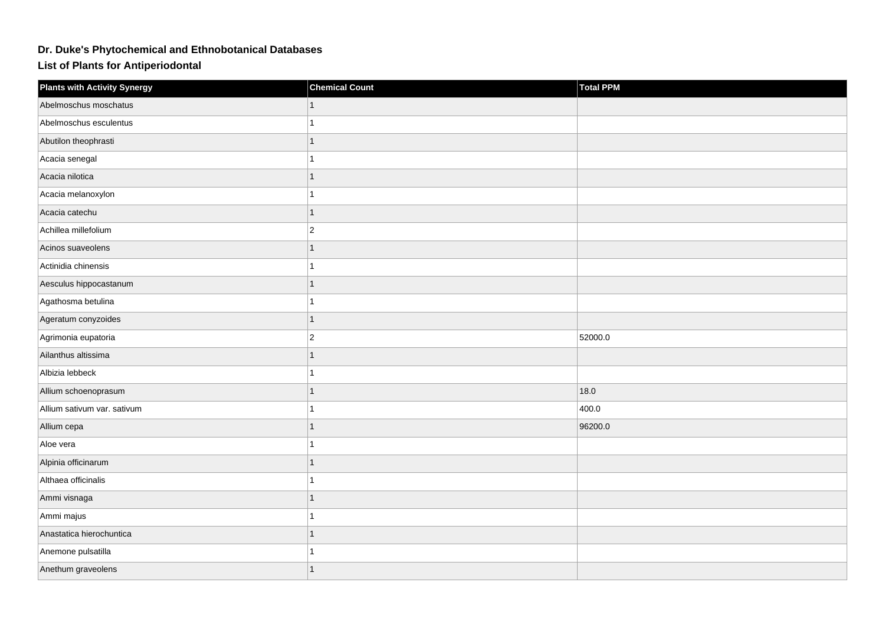## **Dr. Duke's Phytochemical and Ethnobotanical Databases**

**List of Plants for Antiperiodontal**

| <b>Plants with Activity Synergy</b> | <b>Chemical Count</b> | <b>Total PPM</b> |
|-------------------------------------|-----------------------|------------------|
| Abelmoschus moschatus               |                       |                  |
| Abelmoschus esculentus              | 1                     |                  |
| Abutilon theophrasti                | $\mathbf{1}$          |                  |
| Acacia senegal                      | 1                     |                  |
| Acacia nilotica                     | $\mathbf{1}$          |                  |
| Acacia melanoxylon                  | 1                     |                  |
| Acacia catechu                      |                       |                  |
| Achillea millefolium                | $ 2\rangle$           |                  |
| Acinos suaveolens                   | $\mathbf{1}$          |                  |
| Actinidia chinensis                 | $\mathbf{1}$          |                  |
| Aesculus hippocastanum              | $\mathbf{1}$          |                  |
| Agathosma betulina                  | 1                     |                  |
| Ageratum conyzoides                 | $\mathbf{1}$          |                  |
| Agrimonia eupatoria                 | $\vert$ 2             | 52000.0          |
| Ailanthus altissima                 | 1                     |                  |
| Albizia lebbeck                     | $\mathbf{1}$          |                  |
| Allium schoenoprasum                | $\mathbf{1}$          | 18.0             |
| Allium sativum var. sativum         | 1                     | 400.0            |
| Allium cepa                         | 1                     | 96200.0          |
| Aloe vera                           | 1                     |                  |
| Alpinia officinarum                 | 1                     |                  |
| Althaea officinalis                 | $\mathbf{1}$          |                  |
| Ammi visnaga                        | $\mathbf{1}$          |                  |
| Ammi majus                          | 1                     |                  |
| Anastatica hierochuntica            | 1                     |                  |
| Anemone pulsatilla                  | 1                     |                  |
| Anethum graveolens                  | 1                     |                  |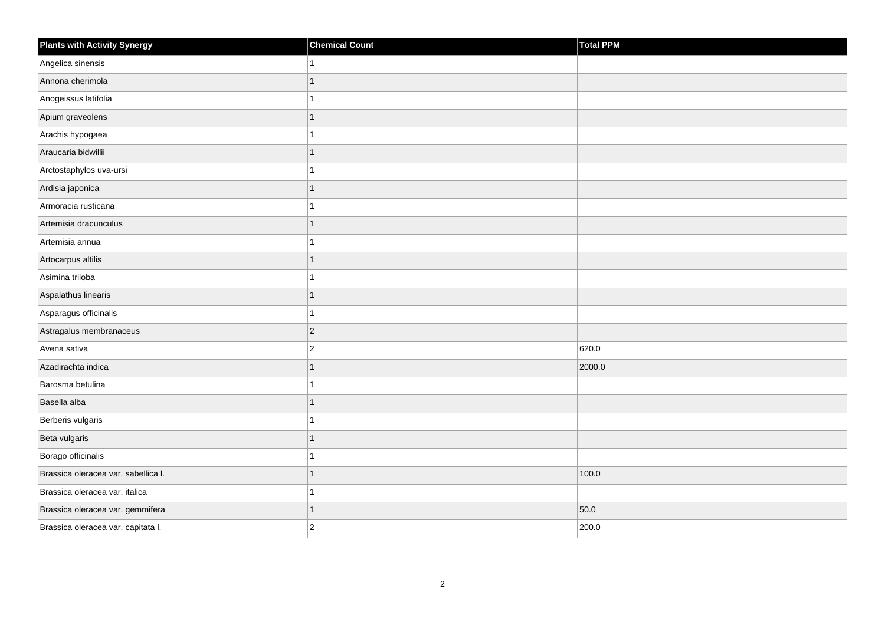| <b>Plants with Activity Synergy</b> | <b>Chemical Count</b> | Total PPM |
|-------------------------------------|-----------------------|-----------|
| Angelica sinensis                   | 1                     |           |
| Annona cherimola                    | 1                     |           |
| Anogeissus latifolia                | 1                     |           |
| Apium graveolens                    | 1                     |           |
| Arachis hypogaea                    | 1                     |           |
| Araucaria bidwillii                 | $\mathbf{1}$          |           |
| Arctostaphylos uva-ursi             | 1                     |           |
| Ardisia japonica                    | 1                     |           |
| Armoracia rusticana                 | 1                     |           |
| Artemisia dracunculus               | $\mathbf{1}$          |           |
| Artemisia annua                     | 1                     |           |
| Artocarpus altilis                  | $\mathbf{1}$          |           |
| Asimina triloba                     | $\overline{1}$        |           |
| Aspalathus linearis                 | $\mathbf{1}$          |           |
| Asparagus officinalis               | 1                     |           |
| Astragalus membranaceus             | $ 2\rangle$           |           |
| Avena sativa                        | $\overline{2}$        | 620.0     |
| Azadirachta indica                  | $\mathbf{1}$          | 2000.0    |
| Barosma betulina                    | $\overline{1}$        |           |
| Basella alba                        | 1                     |           |
| Berberis vulgaris                   | 1                     |           |
| Beta vulgaris                       | 1                     |           |
| Borago officinalis                  | 1                     |           |
| Brassica oleracea var. sabellica I. | 1                     | 100.0     |
| Brassica oleracea var. italica      | $\mathbf{1}$          |           |
| Brassica oleracea var. gemmifera    | 1                     | 50.0      |
| Brassica oleracea var. capitata I.  | $\overline{2}$        | 200.0     |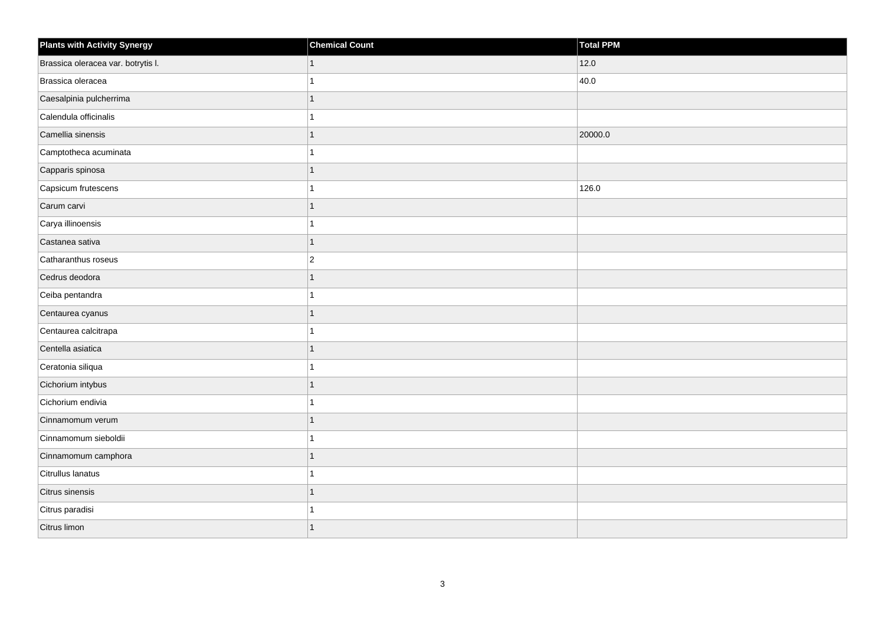| <b>Plants with Activity Synergy</b> | <b>Chemical Count</b> | Total PPM |
|-------------------------------------|-----------------------|-----------|
| Brassica oleracea var. botrytis I.  | 1                     | 12.0      |
| Brassica oleracea                   |                       | 40.0      |
| Caesalpinia pulcherrima             | 1                     |           |
| Calendula officinalis               | 1                     |           |
| Camellia sinensis                   | 1                     | 20000.0   |
| Camptotheca acuminata               | 1                     |           |
| Capparis spinosa                    | 1                     |           |
| Capsicum frutescens                 | 1                     | 126.0     |
| Carum carvi                         | 1                     |           |
| Carya illinoensis                   | 1                     |           |
| Castanea sativa                     | 1                     |           |
| Catharanthus roseus                 | $\overline{2}$        |           |
| Cedrus deodora                      | 1                     |           |
| Ceiba pentandra                     | 1                     |           |
| Centaurea cyanus                    | 1                     |           |
| Centaurea calcitrapa                | 1                     |           |
| Centella asiatica                   | 1                     |           |
| Ceratonia siliqua                   |                       |           |
| Cichorium intybus                   | 1                     |           |
| Cichorium endivia                   |                       |           |
| Cinnamomum verum                    | 1                     |           |
| Cinnamomum sieboldii                | 1                     |           |
| Cinnamomum camphora                 | 1                     |           |
| Citrullus lanatus                   |                       |           |
| Citrus sinensis                     | 1                     |           |
| Citrus paradisi                     |                       |           |
| Citrus limon                        | 1                     |           |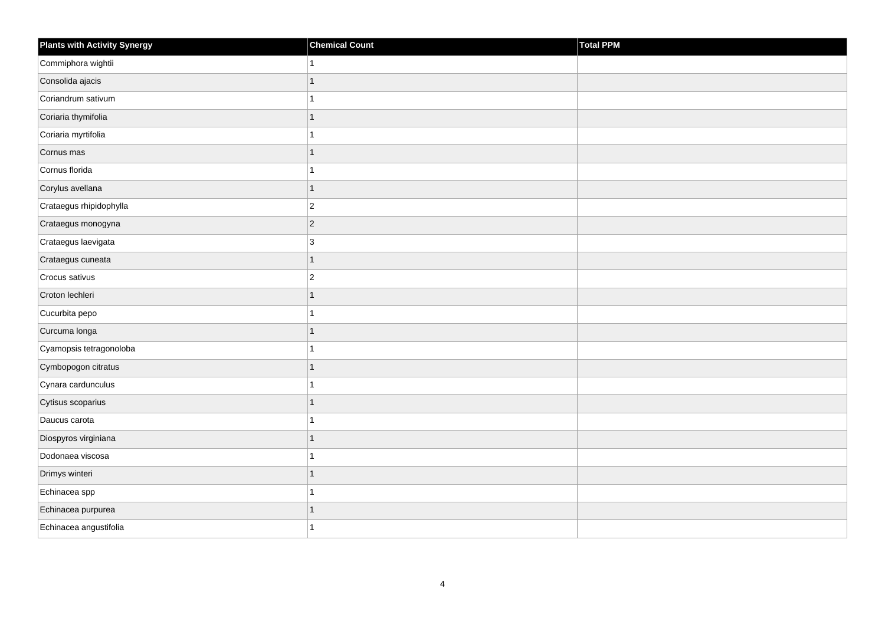| <b>Plants with Activity Synergy</b> | <b>Chemical Count</b> | Total PPM |
|-------------------------------------|-----------------------|-----------|
| Commiphora wightii                  |                       |           |
| Consolida ajacis                    | 1                     |           |
| Coriandrum sativum                  |                       |           |
| Coriaria thymifolia                 | 1                     |           |
| Coriaria myrtifolia                 |                       |           |
| Cornus mas                          | 1                     |           |
| Cornus florida                      |                       |           |
| Corylus avellana                    | 1                     |           |
| Crataegus rhipidophylla             | $\overline{c}$        |           |
| Crataegus monogyna                  | $\overline{2}$        |           |
| Crataegus laevigata                 | 3                     |           |
| Crataegus cuneata                   | 1                     |           |
| Crocus sativus                      | $\overline{c}$        |           |
| Croton lechleri                     | 1                     |           |
| Cucurbita pepo                      |                       |           |
| Curcuma longa                       | 1                     |           |
| Cyamopsis tetragonoloba             |                       |           |
| Cymbopogon citratus                 |                       |           |
| Cynara cardunculus                  | 1                     |           |
| Cytisus scoparius                   | 1                     |           |
| Daucus carota                       |                       |           |
| Diospyros virginiana                | 1                     |           |
| Dodonaea viscosa                    |                       |           |
| Drimys winteri                      |                       |           |
| Echinacea spp                       | 1                     |           |
| Echinacea purpurea                  |                       |           |
| Echinacea angustifolia              |                       |           |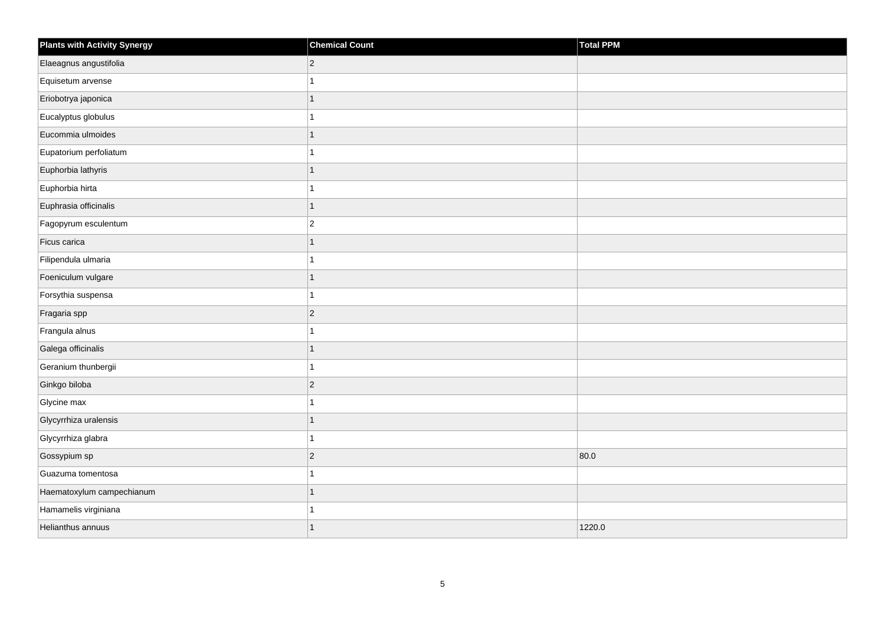| <b>Plants with Activity Synergy</b> | <b>Chemical Count</b> | <b>Total PPM</b> |
|-------------------------------------|-----------------------|------------------|
| Elaeagnus angustifolia              | $\overline{c}$        |                  |
| Equisetum arvense                   | 1                     |                  |
| Eriobotrya japonica                 | 1                     |                  |
| Eucalyptus globulus                 | 1                     |                  |
| Eucommia ulmoides                   | $\overline{1}$        |                  |
| Eupatorium perfoliatum              | 1                     |                  |
| Euphorbia lathyris                  | $\mathbf{1}$          |                  |
| Euphorbia hirta                     | 1                     |                  |
| Euphrasia officinalis               | $\overline{1}$        |                  |
| Fagopyrum esculentum                | $\overline{2}$        |                  |
| Ficus carica                        | 1                     |                  |
| Filipendula ulmaria                 | 1                     |                  |
| Foeniculum vulgare                  | $\mathbf{1}$          |                  |
| Forsythia suspensa                  | 1                     |                  |
| Fragaria spp                        | $\overline{c}$        |                  |
| Frangula alnus                      | 1                     |                  |
| Galega officinalis                  | 1                     |                  |
| Geranium thunbergii                 | 1                     |                  |
| Ginkgo biloba                       | $\overline{c}$        |                  |
| Glycine max                         | 1                     |                  |
| Glycyrrhiza uralensis               | 1                     |                  |
| Glycyrrhiza glabra                  | 1                     |                  |
| Gossypium sp                        | $\overline{c}$        | 80.0             |
| Guazuma tomentosa                   | 1                     |                  |
| Haematoxylum campechianum           | $\overline{1}$        |                  |
| Hamamelis virginiana                | 1                     |                  |
| Helianthus annuus                   | $\overline{1}$        | 1220.0           |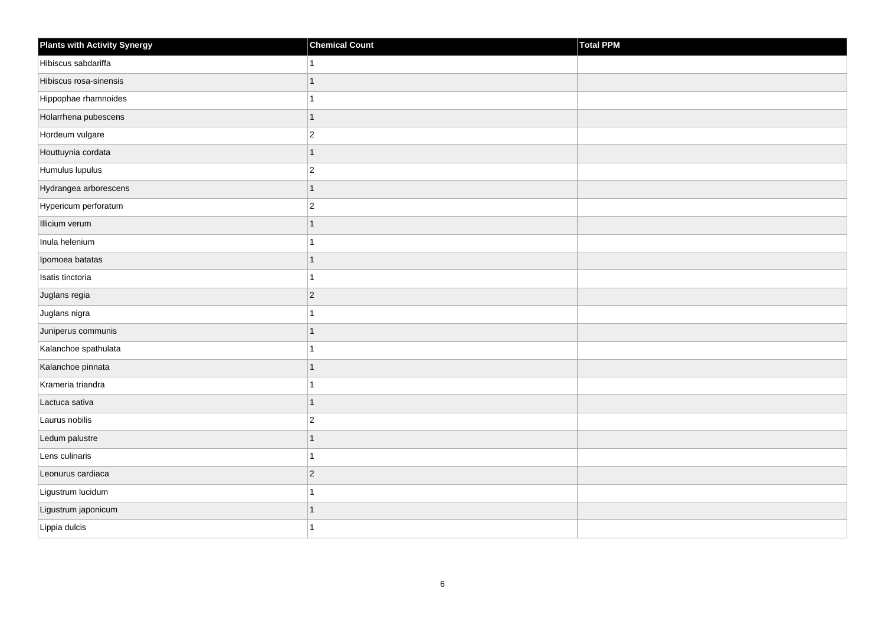| <b>Plants with Activity Synergy</b> | <b>Chemical Count</b> | Total PPM |
|-------------------------------------|-----------------------|-----------|
| Hibiscus sabdariffa                 | 1                     |           |
| Hibiscus rosa-sinensis              | $\mathbf{1}$          |           |
| Hippophae rhamnoides                | 1                     |           |
| Holarrhena pubescens                | 1                     |           |
| Hordeum vulgare                     | $ 2\rangle$           |           |
| Houttuynia cordata                  | $\mathbf{1}$          |           |
| Humulus lupulus                     | $ 2\rangle$           |           |
| Hydrangea arborescens               | $\mathbf{1}$          |           |
| Hypericum perforatum                | $\vert$ 2             |           |
| Illicium verum                      | $\overline{1}$        |           |
| Inula helenium                      | 1                     |           |
| Ipomoea batatas                     | 1                     |           |
| Isatis tinctoria                    | $\mathbf{1}$          |           |
| Juglans regia                       | $ 2\rangle$           |           |
| Juglans nigra                       | $\mathbf{1}$          |           |
| Juniperus communis                  | 1                     |           |
| Kalanchoe spathulata                | 1                     |           |
| Kalanchoe pinnata                   | $\overline{1}$        |           |
| Krameria triandra                   | $\mathbf{1}$          |           |
| Lactuca sativa                      | $\mathbf{1}$          |           |
| Laurus nobilis                      | $\overline{2}$        |           |
| Ledum palustre                      | 1                     |           |
| Lens culinaris                      | 1                     |           |
| Leonurus cardiaca                   | $ 2\rangle$           |           |
| Ligustrum lucidum                   | 1                     |           |
| Ligustrum japonicum                 | 1                     |           |
| Lippia dulcis                       | 1                     |           |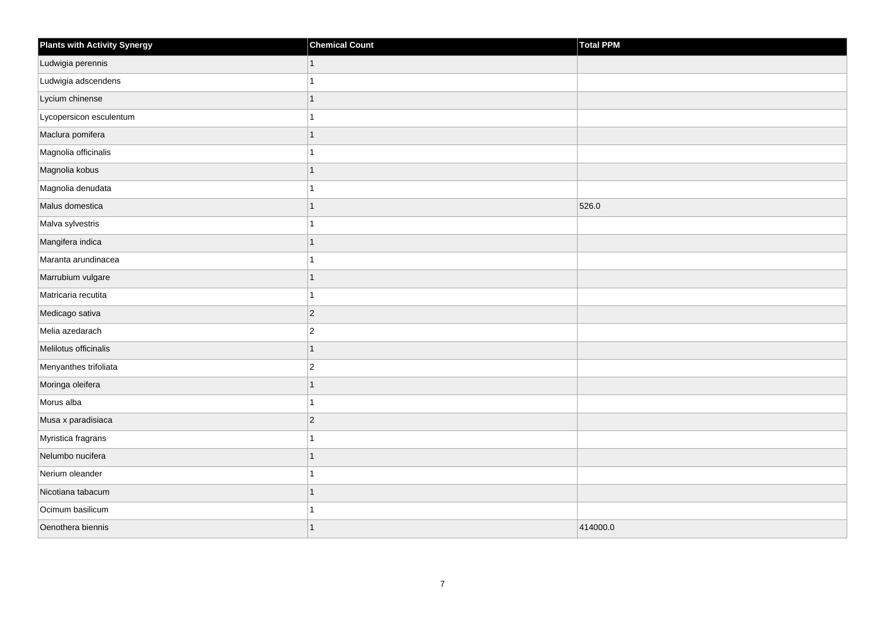| <b>Plants with Activity Synergy</b> | <b>Chemical Count</b> | Total PPM |
|-------------------------------------|-----------------------|-----------|
| Ludwigia perennis                   | 1                     |           |
| Ludwigia adscendens                 |                       |           |
| Lycium chinense                     |                       |           |
| Lycopersicon esculentum             |                       |           |
| Maclura pomifera                    | 1                     |           |
| Magnolia officinalis                |                       |           |
| Magnolia kobus                      |                       |           |
| Magnolia denudata                   |                       |           |
| Malus domestica                     |                       | 526.0     |
| Malva sylvestris                    |                       |           |
| Mangifera indica                    |                       |           |
| Maranta arundinacea                 |                       |           |
| Marrubium vulgare                   | 1                     |           |
| Matricaria recutita                 |                       |           |
| Medicago sativa                     | $ 2\rangle$           |           |
| Melia azedarach                     | $\overline{2}$        |           |
| Melilotus officinalis               |                       |           |
| Menyanthes trifoliata               | $\overline{c}$        |           |
| Moringa oleifera                    | 1                     |           |
| Morus alba                          |                       |           |
| Musa x paradisiaca                  | $\overline{c}$        |           |
| Myristica fragrans                  |                       |           |
| Nelumbo nucifera                    |                       |           |
| Nerium oleander                     |                       |           |
| Nicotiana tabacum                   | 1                     |           |
| Ocimum basilicum                    |                       |           |
| Oenothera biennis                   | 1                     | 414000.0  |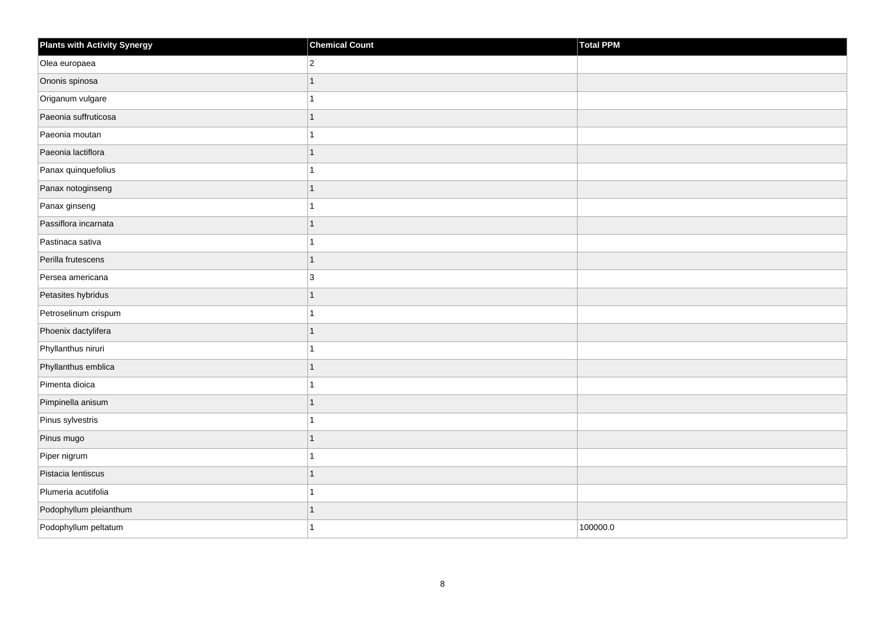| <b>Plants with Activity Synergy</b> | <b>Chemical Count</b> | Total PPM |
|-------------------------------------|-----------------------|-----------|
| Olea europaea                       | $\overline{2}$        |           |
| Ononis spinosa                      | $\overline{1}$        |           |
| Origanum vulgare                    | 1                     |           |
| Paeonia suffruticosa                | $\overline{1}$        |           |
| Paeonia moutan                      | 1                     |           |
| Paeonia lactiflora                  | $\overline{1}$        |           |
| Panax quinquefolius                 | 1                     |           |
| Panax notoginseng                   | $\overline{1}$        |           |
| Panax ginseng                       | 1                     |           |
| Passiflora incarnata                | $\overline{1}$        |           |
| Pastinaca sativa                    | 1                     |           |
| Perilla frutescens                  | $\overline{1}$        |           |
| Persea americana                    | 3                     |           |
| Petasites hybridus                  | $\overline{1}$        |           |
| Petroselinum crispum                | 1                     |           |
| Phoenix dactylifera                 | $\mathbf{1}$          |           |
| Phyllanthus niruri                  | 1                     |           |
| Phyllanthus emblica                 | 1                     |           |
| Pimenta dioica                      | $\overline{1}$        |           |
| Pimpinella anisum                   | $\overline{1}$        |           |
| Pinus sylvestris                    | 1                     |           |
| Pinus mugo                          | $\overline{1}$        |           |
| Piper nigrum                        | 1                     |           |
| Pistacia lentiscus                  | 1                     |           |
| Plumeria acutifolia                 | 1                     |           |
| Podophyllum pleianthum              | 1                     |           |
| Podophyllum peltatum                | 1                     | 100000.0  |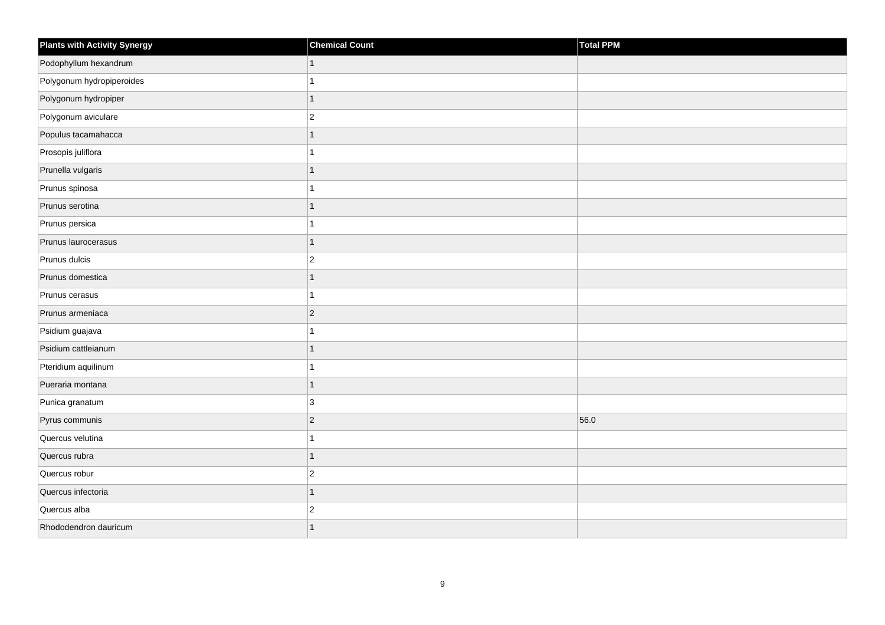| <b>Plants with Activity Synergy</b> | <b>Chemical Count</b> | Total PPM |
|-------------------------------------|-----------------------|-----------|
| Podophyllum hexandrum               |                       |           |
| Polygonum hydropiperoides           |                       |           |
| Polygonum hydropiper                | 1                     |           |
| Polygonum aviculare                 | $\overline{2}$        |           |
| Populus tacamahacca                 | 1                     |           |
| Prosopis juliflora                  |                       |           |
| Prunella vulgaris                   | 1                     |           |
| Prunus spinosa                      |                       |           |
| Prunus serotina                     |                       |           |
| Prunus persica                      |                       |           |
| Prunus laurocerasus                 | 1                     |           |
| Prunus dulcis                       | $\overline{c}$        |           |
| Prunus domestica                    | 1                     |           |
| Prunus cerasus                      |                       |           |
| Prunus armeniaca                    | $\overline{2}$        |           |
| Psidium guajava                     |                       |           |
| Psidium cattleianum                 |                       |           |
| Pteridium aquilinum                 |                       |           |
| Pueraria montana                    | $\overline{1}$        |           |
| Punica granatum                     | 3                     |           |
| Pyrus communis                      | $\overline{c}$        | 56.0      |
| Quercus velutina                    |                       |           |
| Quercus rubra                       |                       |           |
| Quercus robur                       | $\overline{2}$        |           |
| Quercus infectoria                  | $\overline{1}$        |           |
| Quercus alba                        | $\overline{2}$        |           |
| Rhododendron dauricum               | 1                     |           |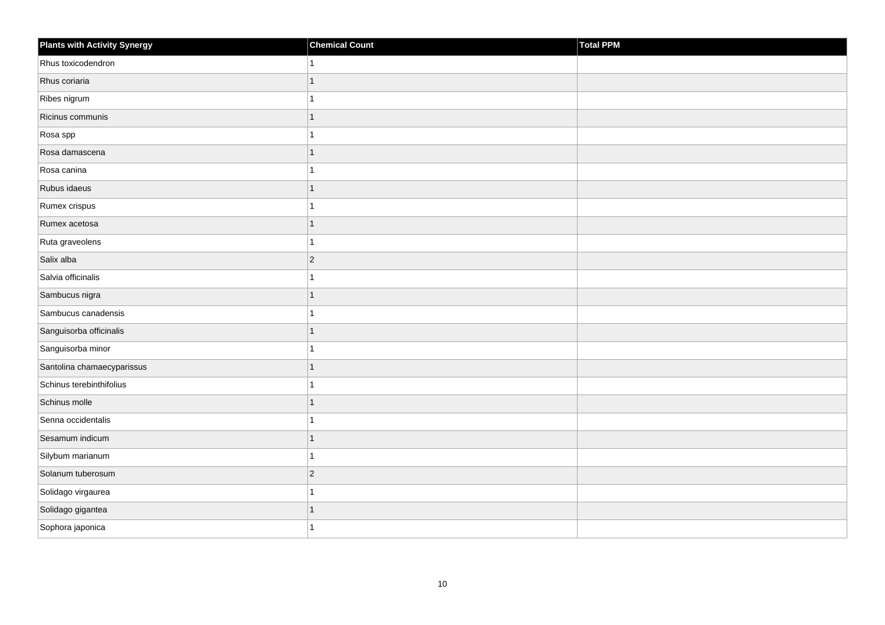| <b>Plants with Activity Synergy</b> | <b>Chemical Count</b> | Total PPM |
|-------------------------------------|-----------------------|-----------|
| Rhus toxicodendron                  |                       |           |
| Rhus coriaria                       | 1                     |           |
| Ribes nigrum                        |                       |           |
| Ricinus communis                    |                       |           |
| Rosa spp                            |                       |           |
| Rosa damascena                      |                       |           |
| Rosa canina                         |                       |           |
| Rubus idaeus                        | 1                     |           |
| Rumex crispus                       |                       |           |
| Rumex acetosa                       |                       |           |
| Ruta graveolens                     |                       |           |
| Salix alba                          | $ 2\rangle$           |           |
| Salvia officinalis                  |                       |           |
| Sambucus nigra                      | $\mathbf 1$           |           |
| Sambucus canadensis                 |                       |           |
| Sanguisorba officinalis             |                       |           |
| Sanguisorba minor                   |                       |           |
| Santolina chamaecyparissus          |                       |           |
| Schinus terebinthifolius            |                       |           |
| Schinus molle                       |                       |           |
| Senna occidentalis                  |                       |           |
| Sesamum indicum                     | 1                     |           |
| Silybum marianum                    |                       |           |
| Solanum tuberosum                   | $ 2\rangle$           |           |
| Solidago virgaurea                  |                       |           |
| Solidago gigantea                   |                       |           |
| Sophora japonica                    |                       |           |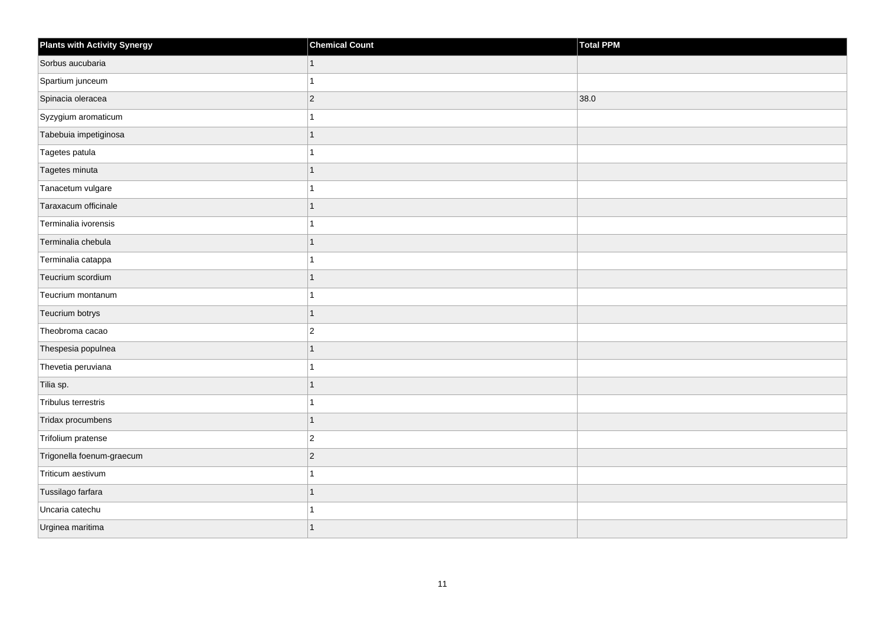| <b>Plants with Activity Synergy</b> | <b>Chemical Count</b> | <b>Total PPM</b> |
|-------------------------------------|-----------------------|------------------|
| Sorbus aucubaria                    | $\mathbf{1}$          |                  |
| Spartium junceum                    | 1                     |                  |
| Spinacia oleracea                   | $\overline{c}$        | 38.0             |
| Syzygium aromaticum                 | 1                     |                  |
| Tabebuia impetiginosa               | 1                     |                  |
| Tagetes patula                      | 1                     |                  |
| Tagetes minuta                      | $\mathbf{1}$          |                  |
| Tanacetum vulgare                   | 1                     |                  |
| Taraxacum officinale                | $\overline{1}$        |                  |
| Terminalia ivorensis                | 1                     |                  |
| Terminalia chebula                  | $\overline{1}$        |                  |
| Terminalia catappa                  | 1                     |                  |
| Teucrium scordium                   | $\overline{1}$        |                  |
| Teucrium montanum                   | 1                     |                  |
| Teucrium botrys                     | $\overline{1}$        |                  |
| Theobroma cacao                     | $\overline{c}$        |                  |
| Thespesia populnea                  | 1                     |                  |
| Thevetia peruviana                  | 1                     |                  |
| Tilia sp.                           | $\overline{1}$        |                  |
| Tribulus terrestris                 | 1                     |                  |
| Tridax procumbens                   | $\mathbf{1}$          |                  |
| Trifolium pratense                  | $\overline{c}$        |                  |
| Trigonella foenum-graecum           | $\overline{c}$        |                  |
| Triticum aestivum                   | 1                     |                  |
| Tussilago farfara                   | $\overline{1}$        |                  |
| Uncaria catechu                     |                       |                  |
| Urginea maritima                    | $\overline{1}$        |                  |